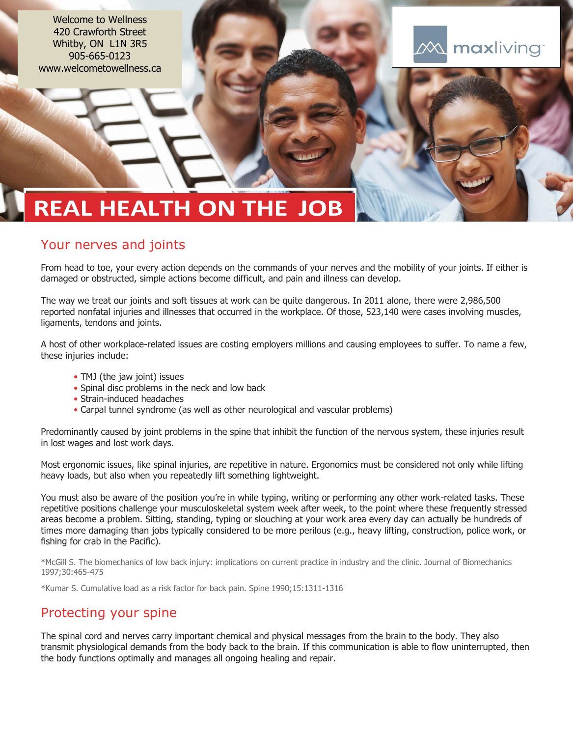Welcome to Wellness 420 Crawforth Street Whitby, ON L1N 3R5 905-665-0123 www.welcometowellness.ca



# **REAL HEALTH ON THE JOB**

# Your nerves and joints

From head to toe, your every action depends on the commands of your nerves and the mobility of your joints. If either is damaged or obstructed, simple actions become difficult, and pain and illness can develop.

The way we treat our joints and soft tissues at work can be quite dangerous. In 2011 alone, there were 2,986,500 reported nonfatal injuries and illnesses that occurred in the workplace. Of those, 523,140 were cases involving muscles, ligaments, tendons and joints.

A host of other workplace-related issues are costing employers millions and causing employees to suffer. To name a few, these injuries include:

- TMJ (the jaw joint) issues
- Spinal disc problems in the neck and low back
- Strain-induced headaches
- Carpal tunnel syndrome (as well as other neurological and vascular problems)

Predominantly caused by joint problems in the spine that inhibit the function of the nervous system, these injuries result in lost wages and lost work days.

Most ergonomic issues, like spinal injuries, are repetitive in nature. Ergonomics must be considered not only while lifting heavy loads, but also when you repeatedly lift something lightweight.

You must also be aware of the position you're in while typing, writing or performing any other work-related tasks. These repetitive positions challenge your musculoskeletal system week after week, to the point where these frequently stressed areas become a problem. Sitting, standing, typing or slouching at your work area every day can actually be hundreds of times more damaging than jobs typically considered to be more perilous (e.g., heavy lifting, construction, police work, or fishing for crab in the Pacific).

\*McGill S. The biomechanics of low back injury: implications on current practice in industry and the clinic. Journal of Biomechanics 1997;30:465-475

\*Kumar S. Cumulative load as a risk factor for back pain. Spine 1990;15:1311-1316

# Protecting your spine

The spinal cord and nerves carry important chemical and physical messages from the brain to the body. They also transmit physiological demands from the body back to the brain. If this communication is able to flow uninterrupted, then the body functions optimally and manages all ongoing healing and repair.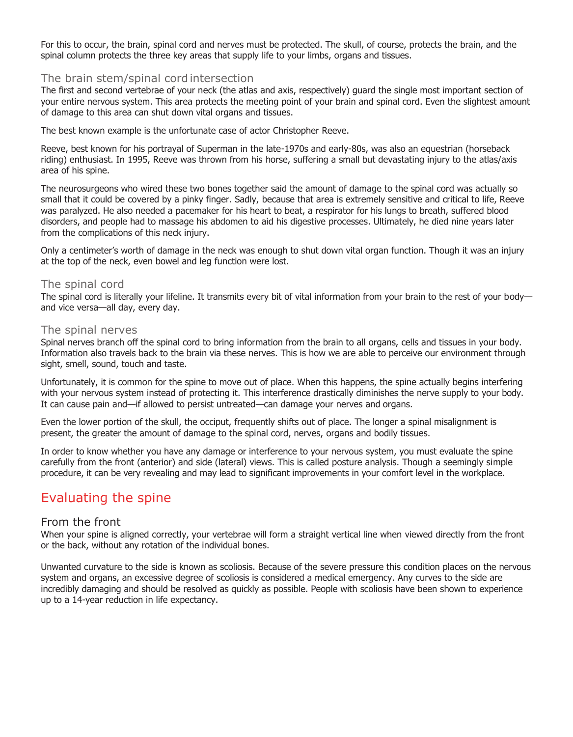For this to occur, the brain, spinal cord and nerves must be protected. The skull, of course, protects the brain, and the spinal column protects the three key areas that supply life to your limbs, organs and tissues.

#### The brain stem/spinal cordintersection

The first and second vertebrae of your neck (the atlas and axis, respectively) guard the single most important section of your entire nervous system. This area protects the meeting point of your brain and spinal cord. Even the slightest amount of damage to this area can shut down vital organs and tissues.

The best known example is the unfortunate case of actor Christopher Reeve.

Reeve, best known for his portrayal of Superman in the late-1970s and early-80s, was also an equestrian (horseback riding) enthusiast. In 1995, Reeve was thrown from his horse, suffering a small but devastating injury to the atlas/axis area of his spine.

The neurosurgeons who wired these two bones together said the amount of damage to the spinal cord was actually so small that it could be covered by a pinky finger. Sadly, because that area is extremely sensitive and critical to life, Reeve was paralyzed. He also needed a pacemaker for his heart to beat, a respirator for his lungs to breath, suffered blood disorders, and people had to massage his abdomen to aid his digestive processes. Ultimately, he died nine years later from the complications of this neck injury.

Only a centimeter's worth of damage in the neck was enough to shut down vital organ function. Though it was an injury at the top of the neck, even bowel and leg function were lost.

#### The spinal cord

The spinal cord is literally your lifeline. It transmits every bit of vital information from your brain to the rest of your body and vice versa—all day, every day.

#### The spinal nerves

Spinal nerves branch off the spinal cord to bring information from the brain to all organs, cells and tissues in your body. Information also travels back to the brain via these nerves. This is how we are able to perceive our environment through sight, smell, sound, touch and taste.

Unfortunately, it is common for the spine to move out of place. When this happens, the spine actually begins interfering with your nervous system instead of protecting it. This interference drastically diminishes the nerve supply to your body. It can cause pain and—if allowed to persist untreated—can damage your nerves and organs.

Even the lower portion of the skull, the occiput, frequently shifts out of place. The longer a spinal misalignment is present, the greater the amount of damage to the spinal cord, nerves, organs and bodily tissues.

In order to know whether you have any damage or interference to your nervous system, you must evaluate the spine carefully from the front (anterior) and side (lateral) views. This is called posture analysis. Though a seemingly simple procedure, it can be very revealing and may lead to significant improvements in your comfort level in the workplace.

## Evaluating the spine

#### From the front

When your spine is aligned correctly, your vertebrae will form a straight vertical line when viewed directly from the front or the back, without any rotation of the individual bones.

Unwanted curvature to the side is known as scoliosis. Because of the severe pressure this condition places on the nervous system and organs, an excessive degree of scoliosis is considered a medical emergency. Any curves to the side are incredibly damaging and should be resolved as quickly as possible. People with scoliosis have been shown to experience up to a 14-year reduction in life expectancy.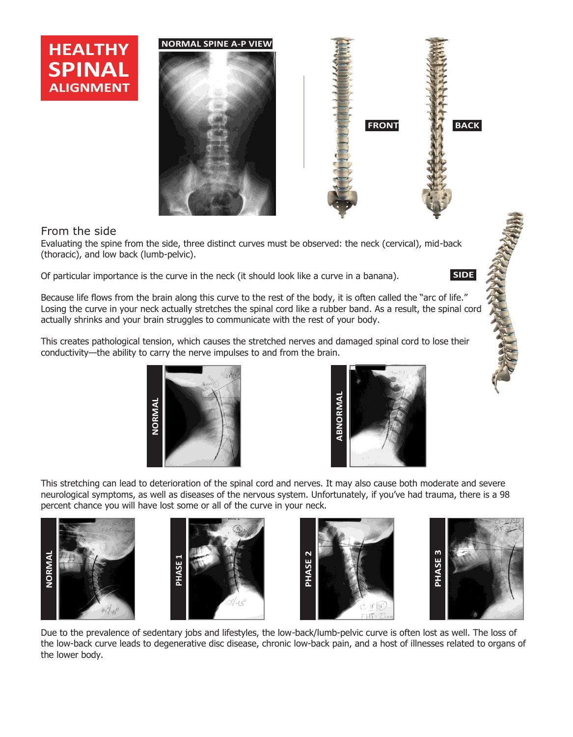





## From the side

Evaluating the spine from the side, three distinct curves must be observed: the neck (cervical), mid-back (thoracic), and low back (lumb-pelvic).

Of particular importance is the curve in the neck (it should look like a curve in a banana). **SIDE**

Because life flows from the brain along this curve to the rest of the body, it is often called the "arc of life." Losing the curve in your neck actually stretches the spinal cord like a rubber band. As a result, the spinal cord actually shrinks and your brain struggles to communicate with the rest of your body.

This creates pathological tension, which causes the stretched nerves and damaged spinal cord to lose their conductivity—the ability to carry the nerve impulses to and from the brain.





This stretching can lead to deterioration of the spinal cord and nerves. It may also cause both moderate and severe neurological symptoms, as well as diseases of the nervous system. Unfortunately, if you've had trauma, there is a 98 percent chance you will have lost some or all of the curve in your neck.









Due to the prevalence of sedentary jobs and lifestyles, the low-back/lumb-pelvic curve is often lost as well. The loss of the low-back curve leads to degenerative disc disease, chronic low-back pain, and a host of illnesses related to organs of the lower body.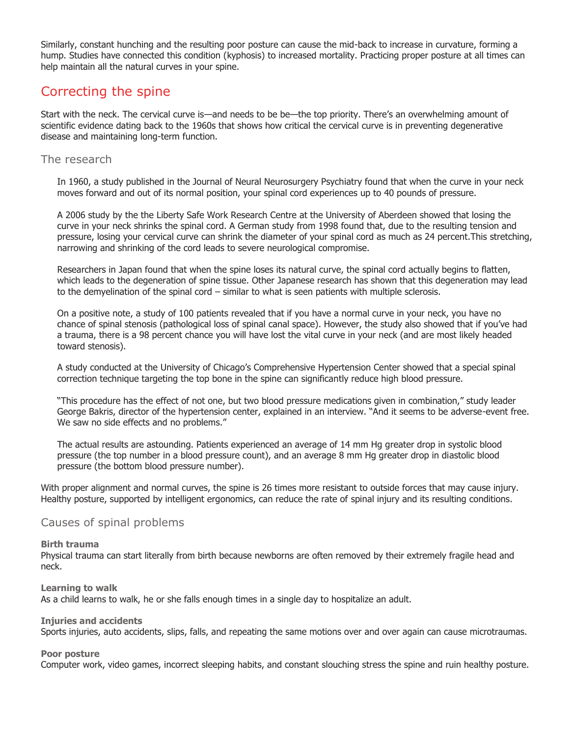Similarly, constant hunching and the resulting poor posture can cause the mid-back to increase in curvature, forming a hump. Studies have connected this condition (kyphosis) to increased mortality. Practicing proper posture at all times can help maintain all the natural curves in your spine.

# Correcting the spine

Start with the neck. The cervical curve is—and needs to be be—the top priority. There's an overwhelming amount of scientific evidence dating back to the 1960s that shows how critical the cervical curve is in preventing degenerative disease and maintaining long-term function.

### The research

In 1960, a study published in the Journal of Neural Neurosurgery Psychiatry found that when the curve in your neck moves forward and out of its normal position, your spinal cord experiences up to 40 pounds of pressure.

A 2006 study by the the Liberty Safe Work Research Centre at the University of Aberdeen showed that losing the curve in your neck shrinks the spinal cord. A German study from 1998 found that, due to the resulting tension and pressure, losing your cervical curve can shrink the diameter of your spinal cord as much as 24 percent.This stretching, narrowing and shrinking of the cord leads to severe neurological compromise.

Researchers in Japan found that when the spine loses its natural curve, the spinal cord actually begins to flatten, which leads to the degeneration of spine tissue. Other Japanese research has shown that this degeneration may lead to the demyelination of the spinal cord – similar to what is seen patients with multiple sclerosis.

On a positive note, a study of 100 patients revealed that if you have a normal curve in your neck, you have no chance of spinal stenosis (pathological loss of spinal canal space). However, the study also showed that if you've had a trauma, there is a 98 percent chance you will have lost the vital curve in your neck (and are most likely headed toward stenosis).

A study conducted at the University of Chicago's Comprehensive Hypertension Center showed that a special spinal correction technique targeting the top bone in the spine can significantly reduce high blood pressure.

"This procedure has the effect of not one, but two blood pressure medications given in combination," study leader George Bakris, director of the hypertension center, explained in an interview. "And it seems to be adverse-event free. We saw no side effects and no problems."

The actual results are astounding. Patients experienced an average of 14 mm Hg greater drop in systolic blood pressure (the top number in a blood pressure count), and an average 8 mm Hg greater drop in diastolic blood pressure (the bottom blood pressure number).

With proper alignment and normal curves, the spine is 26 times more resistant to outside forces that may cause injury. Healthy posture, supported by intelligent ergonomics, can reduce the rate of spinal injury and its resulting conditions.

#### Causes of spinal problems

#### **Birth trauma**

Physical trauma can start literally from birth because newborns are often removed by their extremely fragile head and neck.

#### **Learning to walk**

As a child learns to walk, he or she falls enough times in a single day to hospitalize an adult.

#### **Injuries and accidents**

Sports injuries, auto accidents, slips, falls, and repeating the same motions over and over again can cause microtraumas.

#### **Poor posture**

Computer work, video games, incorrect sleeping habits, and constant slouching stress the spine and ruin healthy posture.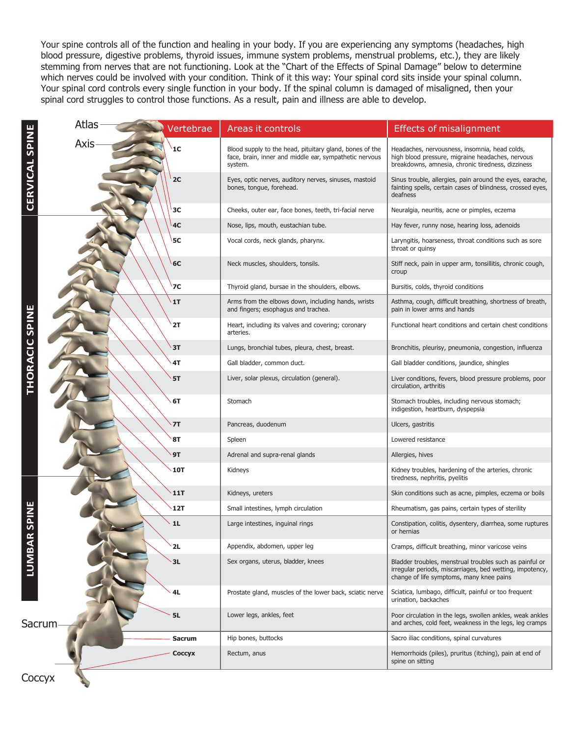Your spine controls all of the function and healing in your body. If you are experiencing any symptoms (headaches, high blood pressure, digestive problems, thyroid issues, immune system problems, menstrual problems, etc.), they are likely stemming from nerves that are not functioning. Look at the "Chart of the Effects of Spinal Damage" below to determine which nerves could be involved with your condition. Think of it this way: Your spinal cord sits inside your spinal column. Your spinal cord controls every single function in your body. If the spinal column is damaged of misaligned, then your spinal cord struggles to control those functions. As a result, pain and illness are able to develop.

|                           | <b>Atlas</b> | Vertebrae     | Areas it controls                                                                                                            | <b>Effects of misalignment</b>                                                                                                                                  |
|---------------------------|--------------|---------------|------------------------------------------------------------------------------------------------------------------------------|-----------------------------------------------------------------------------------------------------------------------------------------------------------------|
| <b>CERVICAL SPINE</b>     | <b>Axis</b>  | 1C            | Blood supply to the head, pituitary gland, bones of the<br>face, brain, inner and middle ear, sympathetic nervous<br>system. | Headaches, nervousness, insomnia, head colds,<br>high blood pressure, migraine headaches, nervous<br>breakdowns, amnesia, chronic tiredness, dizziness          |
|                           |              | 2C            | Eyes, optic nerves, auditory nerves, sinuses, mastoid<br>bones, tongue, forehead.                                            | Sinus trouble, allergies, pain around the eyes, earache,<br>fainting spells, certain cases of blindness, crossed eyes,<br>deafness                              |
|                           |              | 3C            | Cheeks, outer ear, face bones, teeth, tri-facial nerve                                                                       | Neuralgia, neuritis, acne or pimples, eczema                                                                                                                    |
|                           |              | 4C            | Nose, lips, mouth, eustachian tube.                                                                                          | Hay fever, runny nose, hearing loss, adenoids                                                                                                                   |
|                           |              | 5C            | Vocal cords, neck glands, pharynx.                                                                                           | Laryngitis, hoarseness, throat conditions such as sore<br>throat or quinsy                                                                                      |
|                           |              | 6C            | Neck muscles, shoulders, tonsils.                                                                                            | Stiff neck, pain in upper arm, tonsillitis, chronic cough,<br>croup                                                                                             |
|                           |              | <b>7C</b>     | Thyroid gland, bursae in the shoulders, elbows.                                                                              | Bursitis, colds, thyroid conditions                                                                                                                             |
| THORACIC SPIN             |              | 1T            | Arms from the elbows down, including hands, wrists<br>and fingers; esophagus and trachea.                                    | Asthma, cough, difficult breathing, shortness of breath,<br>pain in lower arms and hands                                                                        |
|                           |              | 2T            | Heart, including its valves and covering; coronary<br>arteries.                                                              | Functional heart conditions and certain chest conditions                                                                                                        |
|                           |              | 3T            | Lungs, bronchial tubes, pleura, chest, breast.                                                                               | Bronchitis, pleurisy, pneumonia, congestion, influenza                                                                                                          |
|                           |              | 4T            | Gall bladder, common duct.                                                                                                   | Gall bladder conditions, jaundice, shingles                                                                                                                     |
|                           |              | <b>5T</b>     | Liver, solar plexus, circulation (general).                                                                                  | Liver conditions, fevers, blood pressure problems, poor<br>circulation, arthritis                                                                               |
|                           |              | 6T            | Stomach                                                                                                                      | Stomach troubles, including nervous stomach;<br>indigestion, heartburn, dyspepsia                                                                               |
|                           |              | 7T            | Pancreas, duodenum                                                                                                           | Ulcers, gastritis                                                                                                                                               |
|                           |              | <b>8T</b>     | Spleen                                                                                                                       | Lowered resistance                                                                                                                                              |
|                           |              | 9T            | Adrenal and supra-renal glands                                                                                               | Allergies, hives                                                                                                                                                |
|                           |              | <b>10T</b>    | Kidneys                                                                                                                      | Kidney troubles, hardening of the arteries, chronic<br>tiredness, nephritis, pyelitis                                                                           |
|                           |              | <b>11T</b>    | Kidneys, ureters                                                                                                             | Skin conditions such as acne, pimples, eczema or boils                                                                                                          |
|                           |              | 12T           | Small intestines, lymph circulation                                                                                          | Rheumatism, gas pains, certain types of sterility                                                                                                               |
| <u>n</u><br><b>LUMBAR</b> |              | 1L            | Large intestines, inguinal rings                                                                                             | Constipation, colitis, dysentery, diarrhea, some ruptures<br>or hernias                                                                                         |
|                           |              | 2L            | Appendix, abdomen, upper leg                                                                                                 | Cramps, difficult breathing, minor varicose veins                                                                                                               |
|                           |              | 3L            | Sex organs, uterus, bladder, knees                                                                                           | Bladder troubles, menstrual troubles such as painful or<br>irregular periods, miscarriages, bed wetting, impotency,<br>change of life symptoms, many knee pains |
|                           |              | 4L            | Prostate gland, muscles of the lower back, sciatic nerve                                                                     | Sciatica, lumbago, difficult, painful or too frequent<br>urination, backaches                                                                                   |
| <b>5L</b><br>Sacrum       |              |               | Lower legs, ankles, feet                                                                                                     | Poor circulation in the legs, swollen ankles, weak ankles<br>and arches, cold feet, weakness in the legs, leg cramps                                            |
|                           |              | <b>Sacrum</b> | Hip bones, buttocks                                                                                                          | Sacro iliac conditions, spinal curvatures                                                                                                                       |
|                           |              | Coccyx        | Rectum, anus                                                                                                                 | Hemorrhoids (piles), pruritus (itching), pain at end of<br>spine on sitting                                                                                     |
| Coccyx                    |              |               |                                                                                                                              |                                                                                                                                                                 |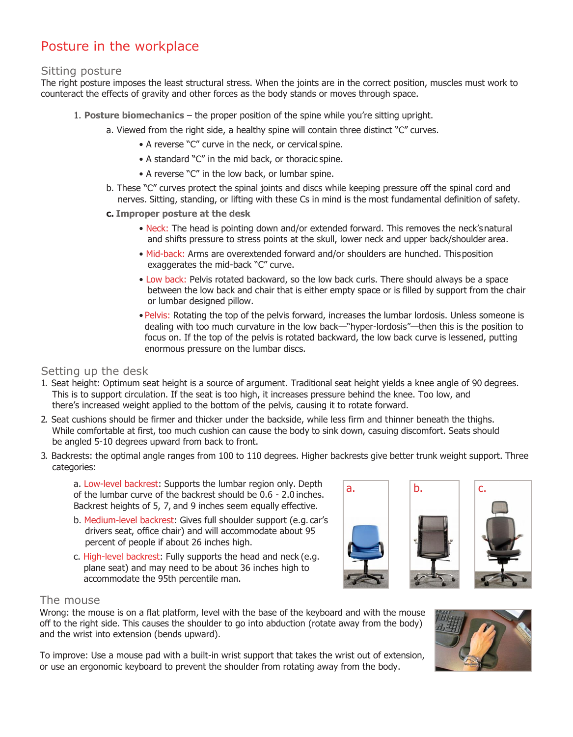# Posture in the workplace

## Sitting posture

The right posture imposes the least structural stress. When the joints are in the correct position, muscles must work to counteract the effects of gravity and other forces as the body stands or moves through space.

- 1. **Posture biomechanics**  the proper position of the spine while you're sitting upright.
	- a. Viewed from the right side, a healthy spine will contain three distinct "C" curves.
		- A reverse "C" curve in the neck, or cervical spine.
		- A standard "C" in the mid back, or thoracic spine.
		- A reverse "C" in the low back, or lumbar spine.
	- b. These "C" curves protect the spinal joints and discs while keeping pressure off the spinal cord and nerves. Sitting, standing, or lifting with these Cs in mind is the most fundamental definition of safety.
	- **c. Improper posture at the desk**
		- Neck: The head is pointing down and/or extended forward. This removes the neck'snatural and shifts pressure to stress points at the skull, lower neck and upper back/shoulder area.
		- Mid-back: Arms are overextended forward and/or shoulders are hunched. Thisposition exaggerates the mid-back "C" curve.
		- Low back: Pelvis rotated backward, so the low back curls. There should always be a space between the low back and chair that is either empty space or is filled by support from the chair or lumbar designed pillow.
		- Pelvis: Rotating the top of the pelvis forward, increases the lumbar lordosis. Unless someone is dealing with too much curvature in the low back—"hyper-lordosis"—then this is the position to focus on. If the top of the pelvis is rotated backward, the low back curve is lessened, putting enormous pressure on the lumbar discs.

## Setting up the desk

- 1. Seat height: Optimum seat height is a source of argument. Traditional seat height yields a knee angle of 90 degrees. This is to support circulation. If the seat is too high, it increases pressure behind the knee. Too low, and there's increased weight applied to the bottom of the pelvis, causing it to rotate forward.
- 2. Seat cushions should be firmer and thicker under the backside, while less firm and thinner beneath the thighs. While comfortable at first, too much cushion can cause the body to sink down, casuing discomfort. Seats should be angled 5-10 degrees upward from back to front.
- 3. Backrests: the optimal angle ranges from 100 to 110 degrees. Higher backrests give better trunk weight support. Three categories:

a. Low-level backrest: Supports the lumbar region only. Depth of the lumbar curve of the backrest should be 0.6 - 2.0 inches. Backrest heights of 5, 7, and 9 inches seem equally effective.

- b. Medium-level backrest: Gives full shoulder support (e.g. car's drivers seat, office chair) and will accommodate about 95 percent of people if about 26 inches high.
- c. High-level backrest: Fully supports the head and neck (e.g. plane seat) and may need to be about 36 inches high to accommodate the 95th percentile man.



## The mouse

Wrong: the mouse is on a flat platform, level with the base of the keyboard and with the mouse off to the right side. This causes the shoulder to go into abduction (rotate away from the body) and the wrist into extension (bends upward).

To improve: Use a mouse pad with a built-in wrist support that takes the wrist out of extension, or use an ergonomic keyboard to prevent the shoulder from rotating away from the body.